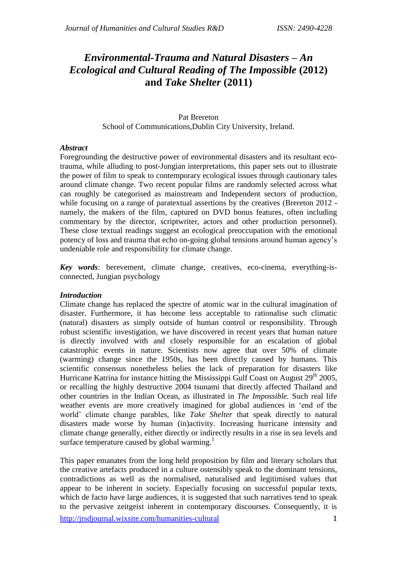# *Environmental-Trauma and Natural Disasters – An Ecological and Cultural Reading of The Impossible* **(2012) and** *Take Shelter* **(2011)**

### Pat Brereton School of Communications,Dublin City University, Ireland.

### *Abstract*

Foregrounding the destructive power of environmental disasters and its resultant ecotrauma, while alluding to post-Jungian interpretations, this paper sets out to illustrate the power of film to speak to contemporary ecological issues through cautionary tales around climate change. Two recent popular films are randomly selected across what can roughly be categorised as mainstream and Independent sectors of production, while focusing on a range of paratextual assertions by the creatives (Brereton 2012 namely, the makers of the film, captured on DVD bonus features, often including commentary by the director, scriptwriter, actors and other production personnel). These close textual readings suggest an ecological preoccupation with the emotional potency of loss and trauma that echo on-going global tensions around human agency's undeniable role and responsibility for climate change.

*Key words:* berevement, climate change, creatives, eco-cinema, everything-isconnected, Jungian psychology

#### *Introduction*

Climate change has replaced the spectre of atomic war in the cultural imagination of disaster. Furthermore, it has become less acceptable to rationalise such climatic (natural) disasters as simply outside of human control or responsibility. Through robust scientific investigation, we have discovered in recent years that human nature is directly involved with and closely responsible for an escalation of global catastrophic events in nature. Scientists now agree that over 50% of climate (warming) change since the 1950s, has been directly caused by humans. This scientific consensus nonetheless belies the lack of preparation for disasters like Hurricane Katrina for instance hitting the Mississippi Gulf Coast on August  $29<sup>th</sup> 2005$ , or recalling the highly destructive 2004 tsunami that directly affected Thailand and other countries in the Indian Ocean, as illustrated in *The Impossible.* Such real life weather events are more creatively imagined for global audiences in 'end of the world' climate change parables, like *Take Shelter* that speak directly to natural disasters made worse by human (in)activity. Increasing hurricane intensity and climate change generally, either directly or indirectly results in a rise in sea levels and surface temperature caused by global warming.<sup>1</sup>

<http://jrsdjournal.wixsite.com/humanities-cultural> 1 This paper emanates from the long held proposition by film and literary scholars that the creative artefacts produced in a culture ostensibly speak to the dominant tensions, contradictions as well as the normalised, naturalised and legitimised values that appear to be inherent in society. Especially focusing on successful popular texts, which de facto have large audiences, it is suggested that such narratives tend to speak to the pervasive zeitgeist inherent in contemporary discourses. Consequently, it is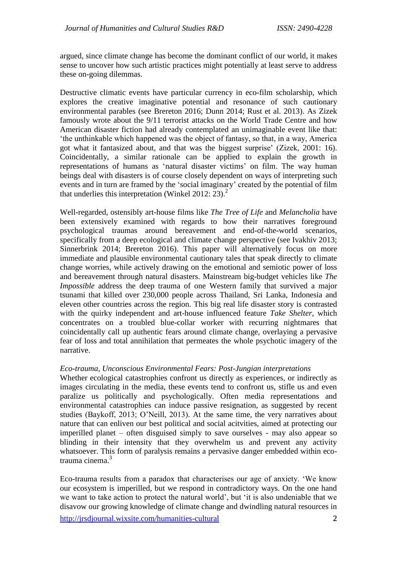argued, since climate change has become the dominant conflict of our world, it makes sense to uncover how such artistic practices might potentially at least serve to address these on-going dilemmas.

Destructive climatic events have particular currency in eco-film scholarship, which explores the creative imaginative potential and resonance of such cautionary environmental parables (see Brereton 2016; Dunn 2014; Rust et al. 2013). As Zizek famously wrote about the 9/11 terrorist attacks on the World Trade Centre and how American disaster fiction had already contemplated an unimaginable event like that: 'the unthinkable which happened was the object of fantasy, so that, in a way, America got what it fantasized about, and that was the biggest surprise' (Zizek, 2001: 16). Coincidentally, a similar rationale can be applied to explain the growth in representations of humans as 'natural disaster victims' on film. The way human beings deal with disasters is of course closely dependent on ways of interpreting such events and in turn are framed by the 'social imaginary' created by the potential of film that underlies this interpretation (Winkel 2012: 23).<sup>2</sup>

Well-regarded, ostensibly art-house films like *The Tree of Life* and *Melancholia* have been extensively examined with regards to how their narratives foreground psychological traumas around bereavement and end-of-the-world scenarios, specifically from a deep ecological and climate change perspective (see Ivakhiv 2013; Sinnerbrink 2014; Brereton 2016). This paper will alternatively focus on more immediate and plausible environmental cautionary tales that speak directly to climate change worries, while actively drawing on the emotional and semiotic power of loss and bereavement through natural disasters. Mainstream big-budget vehicles like *The Impossible* address the deep trauma of one Western family that survived a major tsunami that killed over 230,000 people across Thailand, Sri Lanka, Indonesia and eleven other countries across the region. This big real life disaster story is contrasted with the quirky independent and art-house influenced feature *Take Shelter*, which concentrates on a troubled blue-collar worker with recurring nightmares that coincidentally call up authentic fears around climate change, overlaying a pervasive fear of loss and total annihilation that permeates the whole psychotic imagery of the narrative.

## *Eco-trauma, Unconscious Environmental Fears: Post-Jungian interpretations*

Whether ecological catastrophies confront us directly as experiences, or indirectly as images circulating in the media, these events tend to confront us, stifle us and even paralize us politically and psychologically. Often media representations and environmental catastrophies can induce passive resignation, as suggested by recent studies (Baykoff, 2013; O'Neill, 2013). At the same time, the very narratives about nature that can enliven our best political and social acitvities, aimed at protecting our imperilled planet – often disguised simply to save ourselves - may also appear so blinding in their intensity that they overwhelm us and prevent any activity whatsoever. This form of paralysis remains a pervasive danger embedded within ecotrauma cinema. 3

Eco-trauma results from a paradox that characterises our age of anxiety. 'We know our ecosystem is imperilled, but we respond in contradictory ways. On the one hand we want to take action to protect the natural world', but 'it is also undeniable that we disavow our growing knowledge of climate change and dwindling natural resources in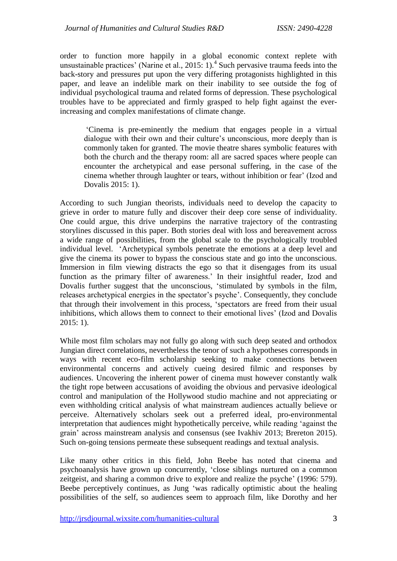order to function more happily in a global economic context replete with unsustainable practices' (Narine et al., 2015: 1).<sup>4</sup> Such pervasive trauma feeds into the back-story and pressures put upon the very differing protagonists highlighted in this paper, and leave an indelible mark on their inability to see outside the fog of individual psychological trauma and related forms of depression. These psychological troubles have to be appreciated and firmly grasped to help fight against the everincreasing and complex manifestations of climate change.

'Cinema is pre-eminently the medium that engages people in a virtual dialogue with their own and their culture's unconscious, more deeply than is commonly taken for granted. The movie theatre shares symbolic features with both the church and the therapy room: all are sacred spaces where people can encounter the archetypical and ease personal suffering, in the case of the cinema whether through laughter or tears, without inhibition or fear' (Izod and Dovalis 2015: 1).

According to such Jungian theorists, individuals need to develop the capacity to grieve in order to mature fully and discover their deep core sense of individuality. One could argue, this drive underpins the narrative trajectory of the contrasting storylines discussed in this paper. Both stories deal with loss and bereavement across a wide range of possibilities, from the global scale to the psychologically troubled individual level. 'Archetypical symbols penetrate the emotions at a deep level and give the cinema its power to bypass the conscious state and go into the unconscious. Immersion in film viewing distracts the ego so that it disengages from its usual function as the primary filter of awareness.' In their insightful reader, Izod and Dovalis further suggest that the unconscious, 'stimulated by symbols in the film, releases archetypical energies in the spectator's psyche'. Consequently, they conclude that through their involvement in this process, 'spectators are freed from their usual inhibitions, which allows them to connect to their emotional lives' (Izod and Dovalis 2015: 1).

While most film scholars may not fully go along with such deep seated and orthodox Jungian direct correlations, nevertheless the tenor of such a hypotheses corresponds in ways with recent eco-film scholarship seeking to make connections between environmental concerns and actively cueing desired filmic and responses by audiences. Uncovering the inherent power of cinema must however constantly walk the tight rope between accusations of avoiding the obvious and pervasive ideological control and manipulation of the Hollywood studio machine and not appreciating or even withholding critical analysis of what mainstream audiences actually believe or perceive. Alternatively scholars seek out a preferred ideal, pro-environmental interpretation that audiences might hypothetically perceive, while reading 'against the grain' across mainstream analysis and consensus (see Ivakhiv 2013; Brereton 2015). Such on-going tensions permeate these subsequent readings and textual analysis.

Like many other critics in this field, John Beebe has noted that cinema and psychoanalysis have grown up concurrently, 'close siblings nurtured on a common zeitgeist, and sharing a common drive to explore and realize the psyche' (1996: 579). Beebe perceptively continues, as Jung 'was radically optimistic about the healing possibilities of the self, so audiences seem to approach film, like Dorothy and her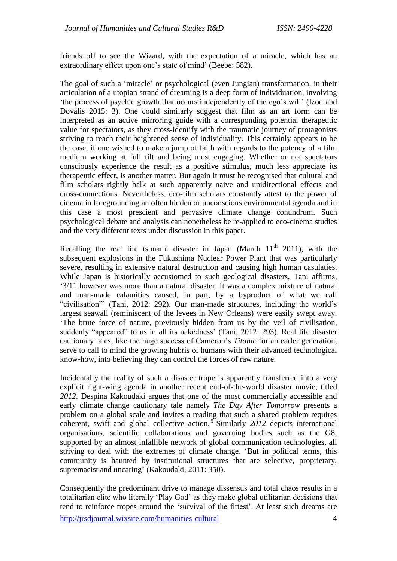friends off to see the Wizard, with the expectation of a miracle, which has an extraordinary effect upon one's state of mind' (Beebe: 582).

The goal of such a 'miracle' or psychological (even Jungian) transformation, in their articulation of a utopian strand of dreaming is a deep form of individuation, involving 'the process of psychic growth that occurs independently of the ego's will' (Izod and Dovalis 2015: 3). One could similarly suggest that film as an art form can be interpreted as an active mirroring guide with a corresponding potential therapeutic value for spectators, as they cross-identify with the traumatic journey of protagonists striving to reach their heightened sense of individuality. This certainly appears to be the case, if one wished to make a jump of faith with regards to the potency of a film medium working at full tilt and being most engaging. Whether or not spectators consciously experience the result as a positive stimulus, much less appreciate its therapeutic effect, is another matter. But again it must be recognised that cultural and film scholars rightly balk at such apparently naive and unidirectional effects and cross-connections. Nevertheless, eco-film scholars constantly attest to the power of cinema in foregrounding an often hidden or unconscious environmental agenda and in this case a most prescient and pervasive climate change conundrum. Such psychological debate and analysis can nonetheless be re-applied to eco-cinema studies and the very different texts under discussion in this paper.

Recalling the real life tsunami disaster in Japan (March  $11<sup>th</sup>$  2011), with the subsequent explosions in the Fukushima Nuclear Power Plant that was particularly severe, resulting in extensive natural destruction and causing high human casulaties. While Japan is historically accustomed to such geological disasters, Tani affirms, '3/11 however was more than a natural disaster. It was a complex mixture of natural and man-made calamities caused, in part, by a byproduct of what we call "civilisation"' (Tani, 2012: 292). Our man-made structures, including the world's largest seawall (reminiscent of the levees in New Orleans) were easily swept away. 'The brute force of nature, previously hidden from us by the veil of civilisation, suddenly "appeared" to us in all its nakedness' (Tani, 2012: 293). Real life disaster cautionary tales, like the huge success of Cameron's *Titanic* for an earler generation, serve to call to mind the growing hubris of humans with their advanced technological know-how, into believing they can control the forces of raw nature.

Incidentally the reality of such a disaster trope is apparently transferred into a very explicit right-wing agenda in another recent end-of-the-world disaster movie, titled *2012*. Despina Kakoudaki argues that one of the most commercially accessible and early climate change cautionary tale namely *The Day After Tomorrow* presents a problem on a global scale and invites a reading that such a shared problem requires coherent, swift and global collective action.<sup>5</sup> Similarly 2012 depicts international organisations, scientific collaborations and governing bodies such as the G8, supported by an almost infallible network of global communication technologies, all striving to deal with the extremes of climate change. 'But in political terms, this community is haunted by institutional structures that are selective, proprietary, supremacist and uncaring' (Kakoudaki, 2011: 350).

Consequently the predominant drive to manage dissensus and total chaos results in a totalitarian elite who literally 'Play God' as they make global utilitarian decisions that tend to reinforce tropes around the 'survival of the fittest'. At least such dreams are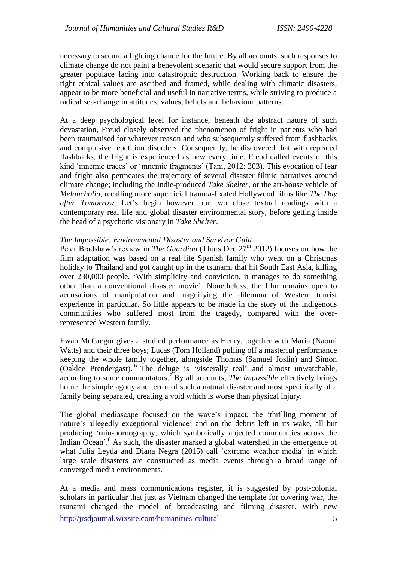necessary to secure a fighting chance for the future. By all accounts, such responses to climate change do not paint a benevolent scenario that would secure support from the greater populace facing into catastrophic destruction. Working back to ensure the right ethical values are ascribed and framed, while dealing with climatic disasters, appear to be more beneficial and useful in narrative terms, while striving to produce a radical sea-change in attitudes, values, beliefs and behaviour patterns.

At a deep psychological level for instance, beneath the abstract nature of such devastation, Freud closely observed the phenomenon of fright in patients who had been traumatised for whatever reason and who subsequently suffered from flashbacks and compulsive repetition disorders. Consequently, he discovered that with repeated flashbacks, the fright is experienced as new every time. Freud called events of this kind 'mnemic traces' or 'mnemic fragments' (Tani, 2012: 303). This evocation of fear and fright also permeates the trajectory of several disaster filmic narratives around climate change; including the Indie-produced *Take Shelter*, or the art-house vehicle of *Melancholia*, recalling more superficial trauma-fixated Hollywood films like *The Day after Tomorrow*. Let's begin however our two close textual readings with a contemporary real life and global disaster environmental story, before getting inside the head of a psychotic visionary in *Take Shelter*.

## *The Impossible: Environmental Disaster and Survivor Guilt*

Peter Bradshaw's review in *The Guardian* (Thurs Dec 27<sup>th</sup> 2012) focuses on how the film adaptation was based on a real life Spanish family who went on a Christmas holiday to Thailand and got caught up in the tsunami that hit South East Asia, killing over 230,000 people. 'With simplicity and conviction, it manages to do something other than a conventional disaster movie'. Nonetheless, the film remains open to accusations of manipulation and magnifying the dilemma of Western tourist experience in particular. So little appears to be made in the story of the indigenous communities who suffered most from the tragedy, compared with the overrepresented Western family.

Ewan McGregor gives a studied performance as Henry, together with Maria (Naomi Watts) and their three boys; Lucas (Tom Holland) pulling off a masterful performance keeping the whole family together, alongside Thomas (Samuel Joslin) and Simon (Oaklee Prendergast). <sup>6</sup> The deluge is 'viscerally real' and almost unwatchable, according to some commentators. <sup>7</sup> By all accounts, *The Impossible* effectively brings home the simple agony and terror of such a natural disaster and most specifically of a family being separated, creating a void which is worse than physical injury.

The global mediascape focused on the wave's impact, the 'thrilling moment of nature's allegedly exceptional violence' and on the debris left in its wake, all but producing 'ruin-pornography, which symbolically abjected communities across the Indian Ocean'. <sup>8</sup> As such, the disaster marked a global watershed in the emergence of what Julia Leyda and Diana Negra (2015) call 'extreme weather media' in which large scale disasters are constructed as media events through a broad range of converged media environments.

<http://jrsdjournal.wixsite.com/humanities-cultural> 5 At a media and mass communications register, it is suggested by post-colonial scholars in particular that just as Vietnam changed the template for covering war, the tsunami changed the model of broadcasting and filming disaster. With new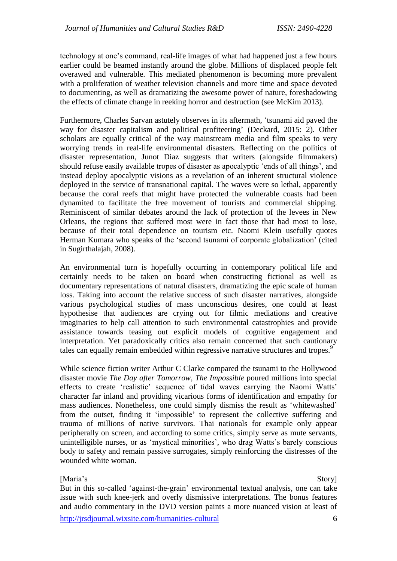technology at one's command, real-life images of what had happened just a few hours earlier could be beamed instantly around the globe. Millions of displaced people felt overawed and vulnerable. This mediated phenomenon is becoming more prevalent with a proliferation of weather television channels and more time and space devoted to documenting, as well as dramatizing the awesome power of nature, foreshadowing the effects of climate change in reeking horror and destruction (see McKim 2013).

Furthermore, Charles Sarvan astutely observes in its aftermath, 'tsunami aid paved the way for disaster capitalism and political profiteering' (Deckard, 2015: 2). Other scholars are equally critical of the way mainstream media and film speaks to very worrying trends in real-life environmental disasters. Reflecting on the politics of disaster representation, Junot Diaz suggests that writers (alongside filmmakers) should refuse easily available tropes of disaster as apocalyptic 'ends of all things', and instead deploy apocalyptic visions as a revelation of an inherent structural violence deployed in the service of transnational capital. The waves were so lethal, apparently because the coral reefs that might have protected the vulnerable coasts had been dynamited to facilitate the free movement of tourists and commercial shipping. Reminiscent of similar debates around the lack of protection of the levees in New Orleans, the regions that suffered most were in fact those that had most to lose, because of their total dependence on tourism etc. Naomi Klein usefully quotes Herman Kumara who speaks of the 'second tsunami of corporate globalization' (cited in Sugirthalajah, 2008).

An environmental turn is hopefully occurring in contemporary political life and certainly needs to be taken on board when constructing fictional as well as documentary representations of natural disasters, dramatizing the epic scale of human loss. Taking into account the relative success of such disaster narratives, alongside various psychological studies of mass unconscious desires, one could at least hypothesise that audiences are crying out for filmic mediations and creative imaginaries to help call attention to such environmental catastrophies and provide assistance towards teasing out explicit models of cognitive engagement and interpretation. Yet paradoxically critics also remain concerned that such cautionary tales can equally remain embedded within regressive narrative structures and tropes.<sup>9</sup>

While science fiction writer Arthur C Clarke compared the tsunami to the Hollywood disaster movie *The Day after Tomorrow*, *The Impossible* poured millions into special effects to create 'realistic' sequence of tidal waves carrying the Naomi Watts' character far inland and providing vicarious forms of identification and empathy for mass audiences. Nonetheless, one could simply dismiss the result as 'whitewashed' from the outset, finding it 'impossible' to represent the collective suffering and trauma of millions of native survivors. Thai nationals for example only appear peripherally on screen, and according to some critics, simply serve as mute servants, unintelligible nurses, or as 'mystical minorities', who drag Watts's barely conscious body to safety and remain passive surrogates, simply reinforcing the distresses of the wounded white woman.

## [Maria's Story]

But in this so-called 'against-the-grain' environmental textual analysis, one can take issue with such knee-jerk and overly dismissive interpretations. The bonus features and audio commentary in the DVD version paints a more nuanced vision at least of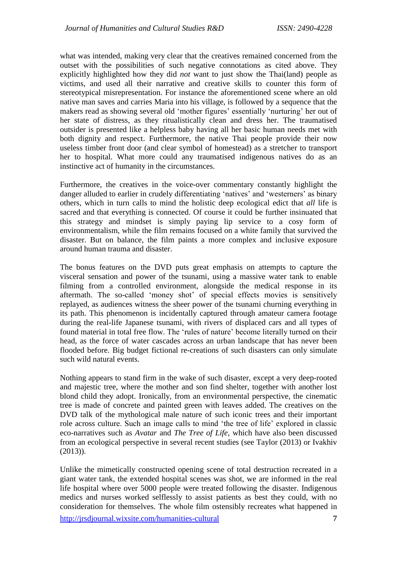what was intended, making very clear that the creatives remained concerned from the outset with the possibilities of such negative connotations as cited above. They explicitly highlighted how they did *not* want to just show the Thai(land) people as victims, and used all their narrative and creative skills to counter this form of stereotypical misrepresentation. For instance the aforementioned scene where an old native man saves and carries Maria into his village, is followed by a sequence that the makers read as showing several old 'mother figures' essentially 'nurturing' her out of her state of distress, as they ritualistically clean and dress her. The traumatised outsider is presented like a helpless baby having all her basic human needs met with both dignity and respect. Furthermore, the native Thai people provide their now useless timber front door (and clear symbol of homestead) as a stretcher to transport her to hospital. What more could any traumatised indigenous natives do as an instinctive act of humanity in the circumstances.

Furthermore, the creatives in the voice-over commentary constantly highlight the danger alluded to earlier in crudely differentiating 'natives' and 'westerners' as binary others, which in turn calls to mind the holistic deep ecological edict that *all* life is sacred and that everything is connected. Of course it could be further insinuated that this strategy and mindset is simply paying lip service to a cosy form of environmentalism, while the film remains focused on a white family that survived the disaster. But on balance, the film paints a more complex and inclusive exposure around human trauma and disaster.

The bonus features on the DVD puts great emphasis on attempts to capture the visceral sensation and power of the tsunami, using a massive water tank to enable filming from a controlled environment, alongside the medical response in its aftermath. The so-called 'money shot' of special effects movies is sensitively replayed, as audiences witness the sheer power of the tsunami churning everything in its path. This phenomenon is incidentally captured through amateur camera footage during the real-life Japanese tsunami, with rivers of displaced cars and all types of found material in total free flow. The 'rules of nature' become literally turned on their head, as the force of water cascades across an urban landscape that has never been flooded before. Big budget fictional re-creations of such disasters can only simulate such wild natural events.

Nothing appears to stand firm in the wake of such disaster, except a very deep-rooted and majestic tree, where the mother and son find shelter, together with another lost blond child they adopt. Ironically, from an environmental perspective, the cinematic tree is made of concrete and painted green with leaves added. The creatives on the DVD talk of the mythological male nature of such iconic trees and their important role across culture. Such an image calls to mind 'the tree of life' explored in classic eco-narratives such as *Avatar* and *The Tree of Life*, which have also been discussed from an ecological perspective in several recent studies (see Taylor (2013) or Ivakhiv (2013)).

Unlike the mimetically constructed opening scene of total destruction recreated in a giant water tank, the extended hospital scenes was shot, we are informed in the real life hospital where over 5000 people were treated following the disaster. Indigenous medics and nurses worked selflessly to assist patients as best they could, with no consideration for themselves. The whole film ostensibly recreates what happened in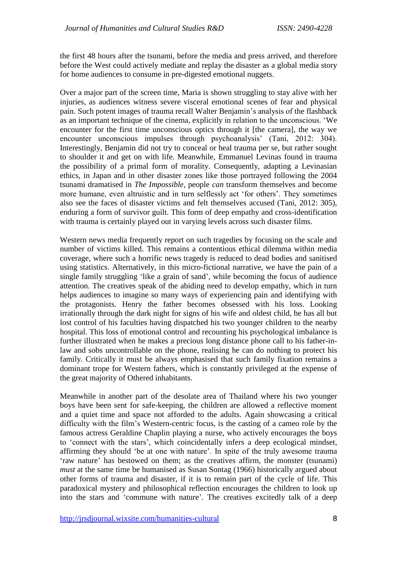the first 48 hours after the tsunami, before the media and press arrived, and therefore before the West could actively mediate and replay the disaster as a global media story for home audiences to consume in pre-digested emotional nuggets.

Over a major part of the screen time, Maria is shown struggling to stay alive with her injuries, as audiences witness severe visceral emotional scenes of fear and physical pain. Such potent images of trauma recall Walter Benjamin's analysis of the flashback as an important technique of the cinema, explicitly in relation to the unconscious. 'We encounter for the first time unconscious optics through it [the camera], the way we encounter unconscious impulses through psychoanalysis' (Tani, 2012: 304). Interestingly, Benjamin did not try to conceal or heal trauma per se, but rather sought to shoulder it and get on with life. Meanwhile, Emmanuel Levinas found in trauma the possibility of a primal form of morality. Consequently, adapting a Levinasian ethics, in Japan and in other disaster zones like those portrayed following the 2004 tsunami dramatised in *The Impossible*, people *can* transform themselves and become more humane, even altruistic and in turn selflessly act 'for others'. They sometimes also see the faces of disaster victims and felt themselves accused (Tani, 2012: 305), enduring a form of survivor guilt. This form of deep empathy and cross-identification with trauma is certainly played out in varying levels across such disaster films.

Western news media frequently report on such tragedies by focusing on the scale and number of victims killed. This remains a contentious ethical dilemma within media coverage, where such a horrific news tragedy is reduced to dead bodies and sanitised using statistics. Alternatively, in this micro-fictional narrative, we have the pain of a single family struggling 'like a grain of sand', while becoming the focus of audience attention. The creatives speak of the abiding need to develop empathy, which in turn helps audiences to imagine so many ways of experiencing pain and identifying with the protagonists. Henry the father becomes obsessed with his loss. Looking irrationally through the dark night for signs of his wife and oldest child, he has all but lost control of his faculties having dispatched his two younger children to the nearby hospital. This loss of emotional control and recounting his psychological imbalance is further illustrated when he makes a precious long distance phone call to his father-inlaw and sobs uncontrollable on the phone, realising he can do nothing to protect his family. Critically it must be always emphasised that such family fixation remains a dominant trope for Western fathers, which is constantly privileged at the expense of the great majority of Othered inhabitants.

Meanwhile in another part of the desolate area of Thailand where his two younger boys have been sent for safe-keeping, the children are allowed a reflective moment and a quiet time and space not afforded to the adults. Again showcasing a critical difficulty with the film's Western-centric focus, is the casting of a cameo role by the famous actress Geraldine Chaplin playing a nurse, who actively encourages the boys to 'connect with the stars', which coincidentally infers a deep ecological mindset, affirming they should 'be at one with nature'. In spite of the truly awesome trauma 'raw nature' has bestowed on them; as the creatives affirm, the monster (tsunami) *must* at the same time be humanised as Susan Sontag (1966) historically argued about other forms of trauma and disaster, if it is to remain part of the cycle of life. This paradoxical mystery and philosophical reflection encourages the children to look up into the stars and 'commune with nature'. The creatives excitedly talk of a deep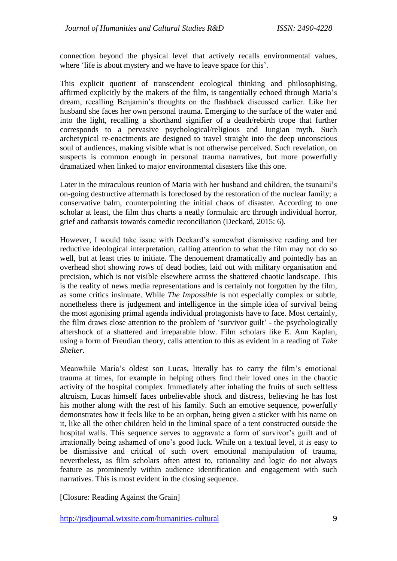connection beyond the physical level that actively recalls environmental values, where 'life is about mystery and we have to leave space for this'.

This explicit quotient of transcendent ecological thinking and philosophising, affirmed explicitly by the makers of the film, is tangentially echoed through Maria's dream, recalling Benjamin's thoughts on the flashback discussed earlier. Like her husband she faces her own personal trauma. Emerging to the surface of the water and into the light, recalling a shorthand signifier of a death/rebirth trope that further corresponds to a pervasive psychological/religious and Jungian myth. Such archetypical re-enactments are designed to travel straight into the deep unconscious soul of audiences, making visible what is not otherwise perceived. Such revelation, on suspects is common enough in personal trauma narratives, but more powerfully dramatized when linked to major environmental disasters like this one.

Later in the miraculous reunion of Maria with her husband and children, the tsunami's on-going destructive aftermath is foreclosed by the restoration of the nuclear family; a conservative balm, counterpointing the initial chaos of disaster. According to one scholar at least, the film thus charts a neatly formulaic arc through individual horror, grief and catharsis towards comedic reconciliation (Deckard, 2015: 6).

However, I would take issue with Deckard's somewhat dismissive reading and her reductive ideological interpretation, calling attention to what the film may not do so well, but at least tries to initiate. The denouement dramatically and pointedly has an overhead shot showing rows of dead bodies, laid out with military organisation and precision, which is not visible elsewhere across the shattered chaotic landscape. This is the reality of news media representations and is certainly not forgotten by the film, as some critics insinuate. While *The Impossible* is not especially complex or subtle, nonetheless there is judgement and intelligence in the simple idea of survival being the most agonising primal agenda individual protagonists have to face. Most certainly, the film draws close attention to the problem of 'survivor guilt' - the psychologically aftershock of a shattered and irreparable blow. Film scholars like E. Ann Kaplan, using a form of Freudian theory, calls attention to this as evident in a reading of *Take Shelter*.

Meanwhile Maria's oldest son Lucas, literally has to carry the film's emotional trauma at times, for example in helping others find their loved ones in the chaotic activity of the hospital complex. Immediately after inhaling the fruits of such selfless altruism, Lucas himself faces unbelievable shock and distress, believing he has lost his mother along with the rest of his family. Such an emotive sequence, powerfully demonstrates how it feels like to be an orphan, being given a sticker with his name on it, like all the other children held in the liminal space of a tent constructed outside the hospital walls. This sequence serves to aggravate a form of survivor's guilt and of irrationally being ashamed of one's good luck. While on a textual level, it is easy to be dismissive and critical of such overt emotional manipulation of trauma, nevertheless, as film scholars often attest to, rationality and logic do not always feature as prominently within audience identification and engagement with such narratives. This is most evident in the closing sequence.

[Closure: Reading Against the Grain]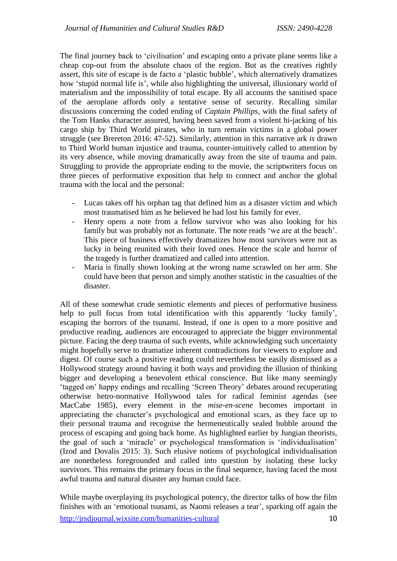The final journey back to 'civilisation' and escaping onto a private plane seems like a cheap cop-out from the absolute chaos of the region. But as the creatives rightly assert, this site of escape is de facto a 'plastic bubble', which alternatively dramatizes how 'stupid normal life is', while also highlighting the universal, illusionary world of materialism and the impossibility of total escape. By all accounts the sanitised space of the aeroplane affords only a tentative sense of security. Recalling similar discussions concerning the coded ending of *Captain Phillips*, with the final safety of the Tom Hanks character assured, having been saved from a violent hi-jacking of his cargo ship by Third World pirates, who in turn remain victims in a global power struggle (see Brereton 2016: 47-52). Similarly, attention in this narrative ark *is* drawn to Third World human injustice and trauma, counter-intuitively called to attention by its very absence, while moving dramatically away from the site of trauma and pain. Struggling to provide the appropriate ending to the movie, the scriptwriters focus on three pieces of performative exposition that help to connect and anchor the global trauma with the local and the personal:

- Lucas takes off his orphan tag that defined him as a disaster victim and which most traumatised him as he believed he had lost his family for ever.
- Henry opens a note from a fellow survivor who was also looking for his family but was probably not as fortunate. The note reads 'we are at the beach'. This piece of business effectively dramatizes how most survivors were not as lucky in being reunited with their loved ones. Hence the scale and horror of the tragedy is further dramatized and called into attention.
- Maria is finally shown looking at the wrong name scrawled on her arm. She could have been that person and simply another statistic in the casualties of the disaster.

All of these somewhat crude semiotic elements and pieces of performative business help to pull focus from total identification with this apparently 'lucky family', escaping the horrors of the tsunami. Instead, if one is open to a more positive and productive reading, audiences are encouraged to appreciate the bigger environmental picture. Facing the deep trauma of such events, while acknowledging such uncertainty might hopefully serve to dramatize inherent contradictions for viewers to explore and digest. Of course such a positive reading could nevertheless be easily dismissed as a Hollywood strategy around having it both ways and providing the illusion of thinking bigger and developing a benevolent ethical conscience. But like many seemingly 'tagged on' happy endings and recalling 'Screen Theory' debates around recuperating otherwise hetro-normative Hollywood tales for radical feminist agendas (see MacCabe 1985), every element in the *mise-en-scene* becomes important in appreciating the character's psychological and emotional scars, as they face up to their personal trauma and recognise the hermeneutically sealed bubble around the process of escaping and going back home. As highlighted earlier by Jungian theorists, the goal of such a 'miracle' or psychological transformation is 'individualisation' (Izod and Dovalis 2015: 3). Such elusive notions of psychological individualisation are nonetheless foregrounded and called into question by isolating these lucky survivors. This remains the primary focus in the final sequence, having faced the most awful trauma and natural disaster any human could face.

<http://jrsdjournal.wixsite.com/humanities-cultural> 10 While maybe overplaying its psychological potency, the director talks of how the film finishes with an 'emotional tsunami, as Naomi releases a tear', sparking off again the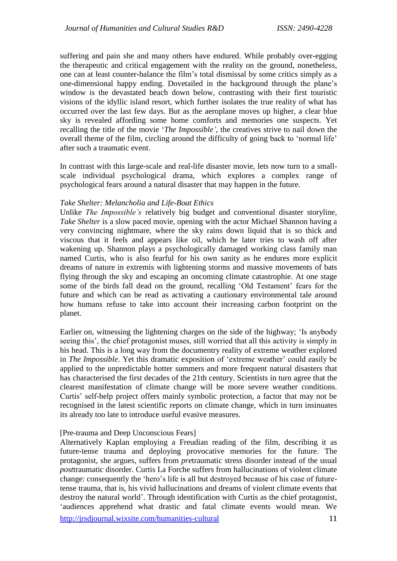suffering and pain she and many others have endured. While probably over-egging the therapeutic and critical engagement with the reality on the ground, nonetheless, one can at least counter-balance the film's total dismissal by some critics simply as a one-dimensional happy ending. Dovetailed in the background through the plane's window is the devastated beach down below, contrasting with their first touristic visions of the idyllic island resort, which further isolates the true reality of what has occurred over the last few days. But as the aeroplane moves up higher, a clear blue sky is revealed affording some home comforts and memories one suspects. Yet recalling the title of the movie '*The Impossible'*, the creatives strive to nail down the overall theme of the film, circling around the difficulty of going back to 'normal life' after such a traumatic event.

In contrast with this large-scale and real-life disaster movie, lets now turn to a smallscale individual psychological drama, which explores a complex range of psychological fears around a natural disaster that may happen in the future.

### *Take Shelter: Melancholia and Life-Boat Ethics*

Unlike *The Impossible's* relatively big budget and conventional disaster storyline, *Take Shelter* is a slow paced movie, opening with the actor Michael Shannon having a very convincing nightmare, where the sky rains down liquid that is so thick and viscous that it feels and appears like oil, which he later tries to wash off after wakening up. Shannon plays a psychologically damaged working class family man named Curtis, who is also fearful for his own sanity as he endures more explicit dreams of nature in extremis with lightening storms and massive movements of bats flying through the sky and escaping an oncoming climate catastrophie. At one stage some of the birds fall dead on the ground, recalling 'Old Testament' fears for the future and which can be read as activating a cautionary environmental tale around how humans refuse to take into account their increasing carbon footprint on the planet.

Earlier on, witnessing the lightening charges on the side of the highway; 'Is anybody seeing this', the chief protagonist muses, still worried that all this activity is simply in his head. This is a long way from the documentry reality of extreme weather explored in *The Impossible*. Yet this dramatic exposition of 'extreme weather' could easily be applied to the unpredictable hotter summers and more frequent natural disasters that has characterised the first decades of the 21th century. Scientists in turn agree that the clearest manifestation of climate change will be more severe weather conditions. Curtis' self-help project offers mainly symbolic protection, a factor that may not be recognised in the latest scientific reports on climate change, which in turn insinuates its already too late to introduce useful evasive measures.

### [Pre-trauma and Deep Unconscious Fears]

<http://jrsdjournal.wixsite.com/humanities-cultural> 11 Alternatively Kaplan employing a Freudian reading of the film, describing it as future-tense trauma and deploying provocative memories for the future. The protagonist, she argues, suffers from *pre*traumatic stress disorder instead of the usual *post*traumatic disorder. Curtis La Forche suffers from hallucinations of violent climate change: consequently the 'hero's life is all but destroyed because of his case of futuretense trauma, that is, his vivid hallucinations and dreams of violent climate events that destroy the natural world'. Through identification with Curtis as the chief protagonist, 'audiences apprehend what drastic and fatal climate events would mean. We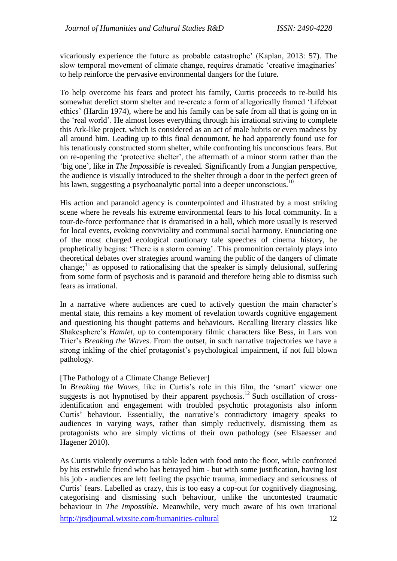vicariously experience the future as probable catastrophe' (Kaplan, 2013: 57). The slow temporal movement of climate change, requires dramatic 'creative imaginaries' to help reinforce the pervasive environmental dangers for the future.

To help overcome his fears and protect his family, Curtis proceeds to re-build his somewhat derelict storm shelter and re-create a form of allegorically framed 'Lifeboat ethics' (Hardin 1974), where he and his family can be safe from all that is going on in the 'real world'. He almost loses everything through his irrational striving to complete this Ark-like project, which is considered as an act of male hubris or even madness by all around him. Leading up to this final denoumont, he had apparently found use for his tenatiously constructed storm shelter, while confronting his unconscious fears. But on re-opening the 'protective shelter', the aftermath of a minor storm rather than the 'big one', like in *The Impossible* is revealed. Significantly from a Jungian perspective, the audience is visually introduced to the shelter through a door in the perfect green of his lawn, suggesting a psychoanalytic portal into a deeper unconscious.<sup>10</sup>

His action and paranoid agency is counterpointed and illustrated by a most striking scene where he reveals his extreme environmental fears to his local community. In a tour-de-force performance that is dramatised in a hall, which more usually is reserved for local events, evoking conviviality and communal social harmony. Enunciating one of the most charged ecological cautionary tale speeches of cinema history, he prophetically begins: 'There is a storm coming'. This promonition certainly plays into theoretical debates over strategies around warning the public of the dangers of climate change; $^{11}$  as opposed to rationalising that the speaker is simply delusional, suffering from some form of psychosis and is paranoid and therefore being able to dismiss such fears as irrational.

In a narrative where audiences are cued to actively question the main character's mental state, this remains a key moment of revelation towards cognitive engagement and questioning his thought patterns and behaviours. Recalling literary classics like Shakesphere's *Hamlet*, up to contemporary filmic characters like Bess, in Lars von Trier's *Breaking the Waves*. From the outset, in such narrative trajectories we have a strong inkling of the chief protagonist's psychological impairment, if not full blown pathology.

## [The Pathology of a Climate Change Believer]

In *Breaking the Waves*, like in Curtis's role in this film, the 'smart' viewer one suggests is not hypnotised by their apparent psychosis.<sup>12</sup> Such oscillation of crossidentification and engagement with troubled psychotic protagonists also inform Curtis' behaviour. Essentially, the narrative's contradictory imagery speaks to audiences in varying ways, rather than simply reductively, dismissing them as protagonists who are simply victims of their own pathology (see Elsaesser and Hagener 2010).

<http://jrsdjournal.wixsite.com/humanities-cultural> 12 As Curtis violently overturns a table laden with food onto the floor, while confronted by his erstwhile friend who has betrayed him - but with some justification, having lost his job - audiences are left feeling the psychic trauma, immediacy and seriousness of Curtis' fears. Labelled as crazy, this is too easy a cop-out for cognitively diagnosing, categorising and dismissing such behaviour, unlike the uncontested traumatic behaviour in *The Impossible*. Meanwhile, very much aware of his own irrational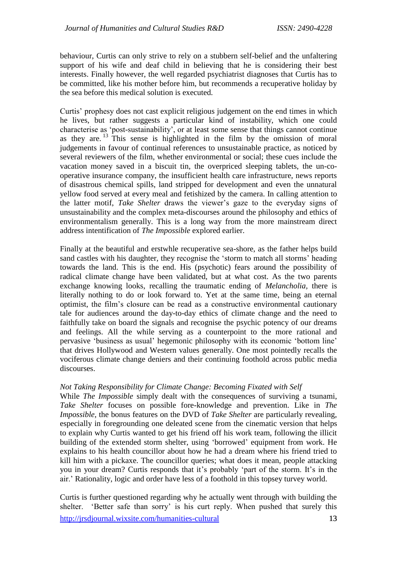behaviour, Curtis can only strive to rely on a stubbern self-belief and the unfaltering support of his wife and deaf child in believing that he is considering their best interests. Finally however, the well regarded psychiatrist diagnoses that Curtis has to be committed, like his mother before him, but recommends a recuperative holiday by the sea before this medical solution is executed.

Curtis' prophesy does not cast explicit religious judgement on the end times in which he lives, but rather suggests a particular kind of instability, which one could characterise as 'post-sustainability', or at least some sense that things cannot continue as they are.<sup>13</sup> This sense is highlighted in the film by the omission of moral judgements in favour of continual references to unsustainable practice, as noticed by several reviewers of the film, whether environmental or social; these cues include the vacation money saved in a biscuit tin, the overpriced sleeping tablets, the un-cooperative insurance company, the insufficient health care infrastructure, news reports of disastrous chemical spills, land stripped for development and even the unnatural yellow food served at every meal and fetishized by the camera. In calling attention to the latter motif, *Take Shelter* draws the viewer's gaze to the everyday signs of unsustainability and the complex meta-discourses around the philosophy and ethics of environmentalism generally. This is a long way from the more mainstream direct address intentification of *The Impossible* explored earlier.

Finally at the beautiful and erstwhle recuperative sea-shore, as the father helps build sand castles with his daughter, they recognise the 'storm to match all storms' heading towards the land. This is the end. His (psychotic) fears around the possibility of radical climate change have been validated, but at what cost. As the two parents exchange knowing looks, recalling the traumatic ending of *Melancholia,* there is literally nothing to do or look forward to. Yet at the same time, being an eternal optimist, the film's closure can be read as a constructive environmental cautionary tale for audiences around the day-to-day ethics of climate change and the need to faithfully take on board the signals and recognise the psychic potency of our dreams and feelings. All the while serving as a counterpoint to the more rational and pervasive 'business as usual' hegemonic philosophy with its economic 'bottom line' that drives Hollywood and Western values generally. One most pointedly recalls the vociferous climate change deniers and their continuing foothold across public media discourses.

### *Not Taking Responsibility for Climate Change: Becoming Fixated with Self*

While *The Impossible* simply dealt with the consequences of surviving a tsunami, *Take Shelter* focuses on possible fore-knowledge and prevention. Like in *The Impossible*, the bonus features on the DVD of *Take Shelter* are particularly revealing, especially in foregrounding one deleated scene from the cinematic version that helps to explain why Curtis wanted to get his friend off his work team, following the illicit building of the extended storm shelter, using 'borrowed' equipment from work. He explains to his health councillor about how he had a dream where his friend tried to kill him with a pickaxe. The councillor queries; what does it mean, people attacking you in your dream? Curtis responds that it's probably 'part of the storm. It's in the air.' Rationality, logic and order have less of a foothold in this topsey turvey world.

<http://jrsdjournal.wixsite.com/humanities-cultural> 13 Curtis is further questioned regarding why he actually went through with building the shelter. 'Better safe than sorry' is his curt reply. When pushed that surely this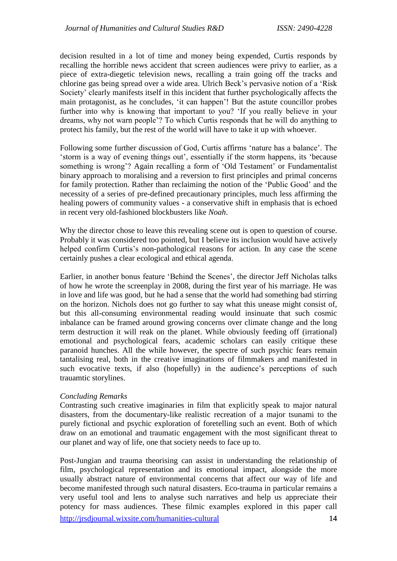decision resulted in a lot of time and money being expended, Curtis responds by recalling the horrible news accident that screen audiences were privy to earlier, as a piece of extra-diegetic television news, recalling a train going off the tracks and chlorine gas being spread over a wide area. Ulrich Beck's pervasive notion of a 'Risk Society' clearly manifests itself in this incident that further psychologically affects the main protagonist, as he concludes, 'it can happen'! But the astute councillor probes further into why is knowing that important to you? 'If you really believe in your dreams, why not warn people'? To which Curtis responds that he will do anything to protect his family, but the rest of the world will have to take it up with whoever.

Following some further discussion of God, Curtis affirms 'nature has a balance'. The 'storm is a way of evening things out', essentially if the storm happens, its 'because something is wrong'? Again recalling a form of 'Old Testament' or Fundamentalist binary approach to moralising and a reversion to first principles and primal concerns for family protection. Rather than reclaiming the notion of the 'Public Good' and the necessity of a series of pre-defined precautionary principles, much less affirming the healing powers of community values - a conservative shift in emphasis that is echoed in recent very old-fashioned blockbusters like *Noah*.

Why the director chose to leave this revealing scene out is open to question of course. Probably it was considered too pointed, but I believe its inclusion would have actively helped confirm Curtis's non-pathological reasons for action. In any case the scene certainly pushes a clear ecological and ethical agenda.

Earlier, in another bonus feature 'Behind the Scenes', the director Jeff Nicholas talks of how he wrote the screenplay in 2008, during the first year of his marriage. He was in love and life was good, but he had a sense that the world had something bad stirring on the horizon. Nichols does not go further to say what this unease might consist of, but this all-consuming environmental reading would insinuate that such cosmic inbalance can be framed around growing concerns over climate change and the long term destruction it will reak on the planet. While obviously feeding off (irrational) emotional and psychological fears, academic scholars can easily critique these paranoid hunches. All the while however, the spectre of such psychic fears remain tantalising real, both in the creative imaginations of filmmakers and manifested in such evocative texts, if also (hopefully) in the audience's perceptions of such trauamtic storylines.

## *Concluding Remarks*

Contrasting such creative imaginaries in film that explicitly speak to major natural disasters, from the documentary-like realistic recreation of a major tsunami to the purely fictional and psychic exploration of foretelling such an event. Both of which draw on an emotional and traumatic engagement with the most significant threat to our planet and way of life, one that society needs to face up to.

<http://jrsdjournal.wixsite.com/humanities-cultural> 14 Post-Jungian and trauma theorising can assist in understanding the relationship of film, psychological representation and its emotional impact, alongside the more usually abstract nature of environmental concerns that affect our way of life and become manifested through such natural disasters. Eco-trauma in particular remains a very useful tool and lens to analyse such narratives and help us appreciate their potency for mass audiences. These filmic examples explored in this paper call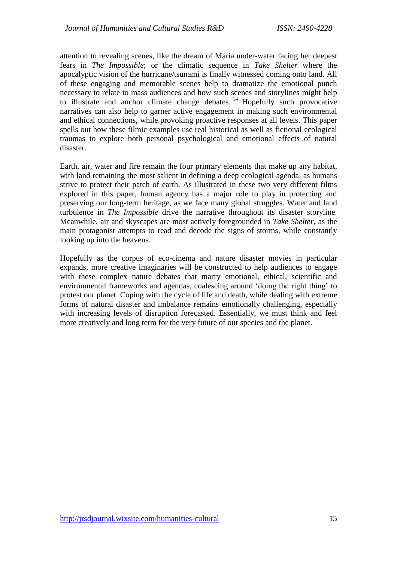attention to revealing scenes, like the dream of Maria under-water facing her deepest fears in *The Impossible*; or the climatic sequence in *Take Shelter* where the apocalyptic vision of the hurricane/tsunami is finally witnessed coming onto land. All of these engaging and memorable scenes help to dramatize the emotional punch necessary to relate to mass audiences and how such scenes and storylines might help to illustrate and anchor climate change debates.<sup>14</sup> Hopefully such provocative narratives can also help to garner active engagement in making such environmental and ethical connections, while provoking proactive responses at all levels. This paper spells out how these filmic examples use real historical as well as fictional ecological traumas to explore both personal psychological and emotional effects of natural disaster.

Earth, air, water and fire remain the four primary elements that make up any habitat, with land remaining the most salient in defining a deep ecological agenda, as humans strive to protect their patch of earth. As illustrated in these two very different films explored in this paper, human agency has a major role to play in protecting and preserving our long-term heritage, as we face many global struggles. Water and land turbulence in *The Impossible* drive the narrative throughout its disaster storyline. Meanwhile, air and skyscapes are most actively foregrounded in *Take Shelter,* as the main protagonist attempts to read and decode the signs of storms, while constantly looking up into the heavens.

Hopefully as the corpus of eco-cinema and nature disaster movies in particular expands, more creative imaginaries will be constructed to help audiences to engage with these complex nature debates that marry emotional, ethical, scientific and environmental frameworks and agendas, coalescing around 'doing the right thing' to protest our planet. Coping with the cycle of life and death, while dealing with extreme forms of natural disaster and imbalance remains emotionally challenging, especially with increasing levels of disruption forecasted. Essentially, we must think and feel more creatively and long term for the very future of our species and the planet.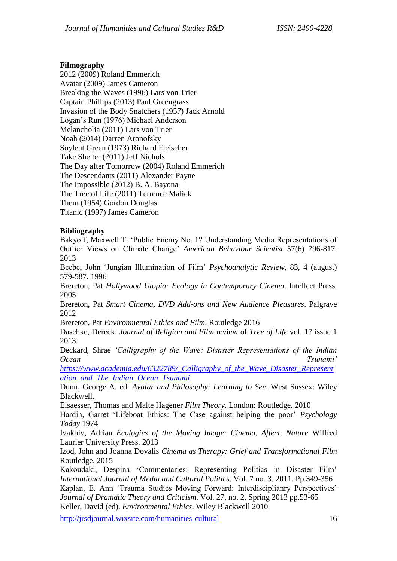### **Filmography**

2012 (2009) Roland Emmerich Avatar (2009) James Cameron Breaking the Waves (1996) Lars von Trier Captain Phillips (2013) Paul Greengrass Invasion of the Body Snatchers (1957) Jack Arnold Logan's Run (1976) Michael Anderson Melancholia (2011) Lars von Trier Noah (2014) Darren Aronofsky Soylent Green (1973) Richard Fleischer Take Shelter (2011) Jeff Nichols The Day after Tomorrow (2004) Roland Emmerich The Descendants (2011) Alexander Payne The Impossible (2012) B. A. Bayona The Tree of Life (2011) Terrence Malick Them (1954) Gordon Douglas Titanic (1997) James Cameron

## **Bibliography**

Bakyoff, Maxwell T. 'Public Enemy No. 1? Understanding Media Representations of Outlier Views on Climate Change' *American Behaviour Scientist* 57(6) 796-817. 2013

Beebe, John 'Jungian Illumination of Film' *Psychoanalytic Review*, 83, 4 (august) 579-587. 1996

Brereton, Pat *Hollywood Utopia: Ecology in Contemporary Cinema*. Intellect Press. 2005

Brereton, Pat *Smart Cinema, DVD Add-ons and New Audience Pleasures*. Palgrave 2012

Brereton, Pat *Environmental Ethics and Film*. Routledge 2016

Daschke, Dereck. *Journal of Religion and Film* review of *Tree of Life* vol. 17 issue 1 2013.

Deckard, Shrae *'Calligraphy of the Wave: Disaster Representations of the Indian Ocean Tsunami'* 

*[https://www.academia.edu/6322789/\\_Calligraphy\\_of\\_the\\_Wave\\_Disaster\\_Represent](https://www.academia.edu/6322789/_Calligraphy_of_the_Wave_Disaster_Representation_and_The_Indian_Ocean_Tsunami) [ation\\_and\\_The\\_Indian\\_Ocean\\_Tsunami](https://www.academia.edu/6322789/_Calligraphy_of_the_Wave_Disaster_Representation_and_The_Indian_Ocean_Tsunami)*

Dunn, George A. ed. *Avatar and Philosophy: Learning to See*. West Sussex: Wiley Blackwell.

Elsaesser, Thomas and Malte Hagener *Film Theory*. London: Routledge. 2010

Hardin, Garret 'Lifeboat Ethics: The Case against helping the poor' *Psychology Today* 1974

Ivakhiv, Adrian *Ecologies of the Moving Image: Cinema, Affect, Nature* Wilfred Laurier University Press. 2013

Izod, John and Joanna Dovalis *Cinema as Therapy: Grief and Transformational Film*  Routledge. 2015

Kakoudaki, Despina 'Commentaries: Representing Politics in Disaster Film' *International Journal of Media and Cultural Politics*. Vol. 7 no. 3. 2011. Pp.349-356 Kaplan, E. Ann 'Trauma Studies Moving Forward: Interdisciplianry Perspectives' *Journal of Dramatic Theory and Criticism*. Vol. 27, no. 2, Spring 2013 pp.53-65 Keller, David (ed). *Environmental Ethics*. Wiley Blackwell 2010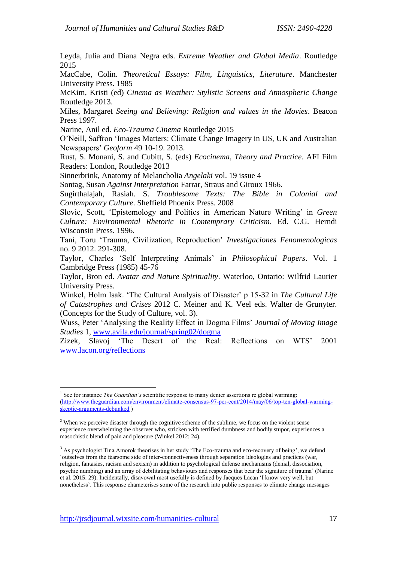Leyda, Julia and Diana Negra eds. *Extreme Weather and Global Media*. Routledge 2015

MacCabe, Colin. *Theoretical Essays: Film, Linguistics, Literature*. Manchester University Press. 1985

McKim, Kristi (ed) *Cinema as Weather: Stylistic Screens and Atmospheric Change* Routledge 2013.

Miles, Margaret *Seeing and Believing: Religion and values in the Movies*. Beacon Press 1997.

Narine, Anil ed. *Eco-Trauma Cinema* Routledge 2015

O'Neill, Saffron 'Images Matters: Climate Change Imagery in US, UK and Australian Newspapers' *Geoform* 49 10-19. 2013.

Rust, S. Monani, S. and Cubitt, S. (eds) *Ecocinema, Theory and Practice*. AFI Film Readers: London, Routledge 2013

Sinnerbrink, Anatomy of Melancholia *Angelaki* vol. 19 issue 4

Sontag, Susan *Against Interpretation* Farrar, Straus and Giroux 1966.

Sugirthalajah, Rasiah. S. *Troublesome Texts: The Bible in Colonial and Contemporary Culture*. Sheffield Phoenix Press. 2008

Slovic, Scott, 'Epistemology and Politics in American Nature Writing' in *Green Culture: Environmental Rhetoric in Contemprary Criticism*. Ed. C.G. Herndi Wisconsin Press. 1996.

Tani, Toru 'Trauma, Civilization, Reproduction' *Investigaciones Fenomenologicas* no. 9 2012. 291-308.

Taylor, Charles 'Self Interpreting Animals' in *Philosophical Papers*. Vol. 1 Cambridge Press (1985) 45-76

Taylor, Bron ed. *Avatar and Nature Spirituality*. Waterloo, Ontario: Wilfrid Laurier University Press.

Winkel, Holm Isak. 'The Cultural Analysis of Disaster' p 15-32 in *The Cultural Life of Catastrophes and Crises* 2012 C. Meiner and K. Veel eds. Walter de Grunyter. (Concepts for the Study of Culture, vol. 3).

Wuss, Peter 'Analysing the Reality Effect in Dogma Films' *Journal of Moving Image Studies* 1, [www.avila.edu/journal/spring02/dogma](http://www.avila.edu/journal/spring02/dogma)

Zizek, Slavoj 'The Desert of the Real: Reflections on WTS' 2001 [www.lacon.org/reflections](http://www.lacon.org/reflections)

 $\overline{a}$ 

<sup>&</sup>lt;sup>1</sup> See for instance *The Guardian's* scientific response to many denier assertions re global warming: [\(http://www.theguardian.com/environment/climate-consensus-97-per-cent/2014/may/06/top-ten-global-warming](http://www.theguardian.com/environment/climate-consensus-97-per-cent/2014/may/06/top-ten-global-warming-skeptic-arguments-debunked)[skeptic-arguments-debunked](http://www.theguardian.com/environment/climate-consensus-97-per-cent/2014/may/06/top-ten-global-warming-skeptic-arguments-debunked) )

<sup>&</sup>lt;sup>2</sup> When we perceive disaster through the cognitive scheme of the sublime, we focus on the violent sense experience overwhelming the observer who, stricken with terrified dumbness and bodily stupor, experiences a masochistic blend of pain and pleasure (Winkel 2012: 24).

<sup>&</sup>lt;sup>3</sup> As psychologist Tina Amorok theorises in her study 'The Eco-trauma and eco-recovery of being', we defend 'outselves from the fearsome side of inter-connectiveness through separation ideologies and practices (war, religion, fantasies, racism and sexism) in addition to psychological defense mechanisms (denial, dissociation, psychic numbing) and an array of debilitating behaviours and responses that bear the signature of trauma' (Narine et al. 2015: 29). Incidentally, disavowal most usefully is defined by Jacques Lacan 'I know very well, but nonetheless'. This response characterises some of the research into public responses to climate change messages